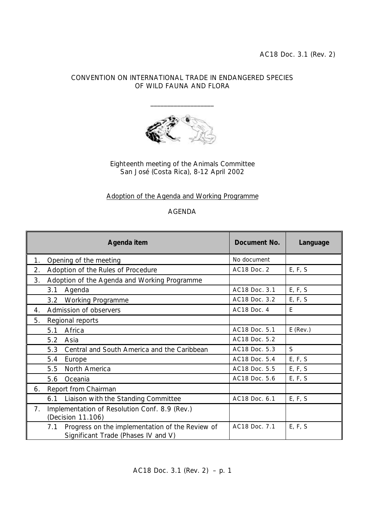## CONVENTION ON INTERNATIONAL TRADE IN ENDANGERED SPECIES OF WILD FAUNA AND FLORA

\_\_\_\_\_\_\_\_\_\_\_\_\_\_\_\_\_\_\_



Eighteenth meeting of the Animals Committee San José (Costa Rica), 8-12 April 2002

## Adoption of the Agenda and Working Programme

## AGENDA

|    | Agenda item                                                                                   | Document No.  | Language   |
|----|-----------------------------------------------------------------------------------------------|---------------|------------|
| 1. | Opening of the meeting                                                                        | No document   |            |
| 2. | Adoption of the Rules of Procedure                                                            | AC18 Doc. 2   | E, F, S    |
| 3. | Adoption of the Agenda and Working Programme                                                  |               |            |
|    | 3.1<br>Agenda                                                                                 | AC18 Doc. 3.1 | E, F, S    |
|    | 3.2<br><b>Working Programme</b>                                                               | AC18 Doc. 3.2 | E, F, S    |
| 4. | Admission of observers                                                                        | AC18 Doc. 4   | E          |
| 5. | Regional reports                                                                              |               |            |
|    | Africa<br>5.1                                                                                 | AC18 Doc. 5.1 | $E$ (Rev.) |
|    | 5.2<br>Asia                                                                                   | AC18 Doc. 5.2 |            |
|    | Central and South America and the Caribbean<br>5.3                                            | AC18 Doc. 5.3 | S          |
|    | 5.4<br>Europe                                                                                 | AC18 Doc. 5.4 | E, F, S    |
|    | North America<br>5.5                                                                          | AC18 Doc. 5.5 | E, F, S    |
|    | Oceania<br>5.6                                                                                | AC18 Doc. 5.6 | E, F, S    |
| 6. | Report from Chairman                                                                          |               |            |
|    | Liaison with the Standing Committee<br>6.1                                                    | AC18 Doc. 6.1 | E, F, S    |
| 7. | Implementation of Resolution Conf. 8.9 (Rev.)<br>(Decision 11.106)                            |               |            |
|    | Progress on the implementation of the Review of<br>7.1<br>Significant Trade (Phases IV and V) | AC18 Doc. 7.1 | E, F, S    |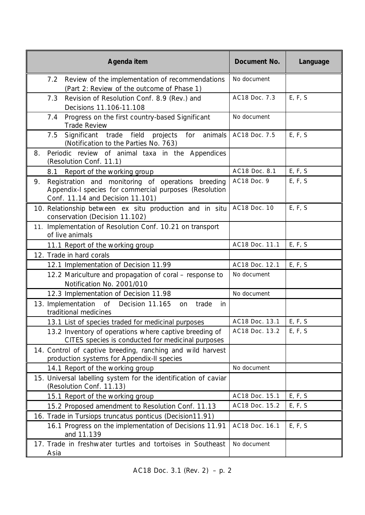| Agenda item                                                                                                                                            | Document No.   | Language |
|--------------------------------------------------------------------------------------------------------------------------------------------------------|----------------|----------|
| Review of the implementation of recommendations<br>7.2<br>(Part 2: Review of the outcome of Phase 1)                                                   | No document    |          |
| Revision of Resolution Conf. 8.9 (Rev.) and<br>7.3<br>Decisions 11.106-11.108                                                                          | AC18 Doc. 7.3  | E, F, S  |
| Progress on the first country-based Significant<br>7.4<br><b>Trade Review</b>                                                                          | No document    |          |
| Significant<br>trade field projects<br>for<br>animals<br>7.5<br>(Notification to the Parties No. 763)                                                  | AC18 Doc. 7.5  | E, F, S  |
| Periodic review of animal taxa in the Appendices<br>8.<br>(Resolution Conf. 11.1)                                                                      |                |          |
| Report of the working group<br>8.1                                                                                                                     | AC18 Doc. 8.1  | E, F, S  |
| Registration and monitoring of operations breeding<br>9.<br>Appendix-I species for commercial purposes (Resolution<br>Conf. 11.14 and Decision 11.101) | AC18 Doc. 9    | E, F, S  |
| 10. Relationship between ex situ production and in situ<br>conservation (Decision 11.102)                                                              | AC18 Doc. 10   | E, F, S  |
| 11. Implementation of Resolution Conf. 10.21 on transport<br>of live animals                                                                           |                |          |
| 11.1 Report of the working group                                                                                                                       | AC18 Doc. 11.1 | E, F, S  |
| 12. Trade in hard corals                                                                                                                               |                |          |
| 12.1 Implementation of Decision 11.99                                                                                                                  | AC18 Doc. 12.1 | E, F, S  |
| 12.2 Mariculture and propagation of coral - response to<br>Notification No. 2001/010                                                                   | No document    |          |
| 12.3 Implementation of Decision 11.98                                                                                                                  | No document    |          |
| 13. Implementation<br>of<br>Decision 11.165<br>trade<br>in<br>on<br>traditional medicines                                                              |                |          |
| 13.1 List of species traded for medicinal purposes                                                                                                     | AC18 Doc. 13.1 | E, F, S  |
| 13.2 Inventory of operations where captive breeding of<br>CITES species is conducted for medicinal purposes                                            | AC18 Doc. 13.2 | E, F, S  |
| 14. Control of captive breeding, ranching and wild harvest<br>production systems for Appendix-II species                                               |                |          |
| 14.1 Report of the working group                                                                                                                       | No document    |          |
| 15. Universal labelling system for the identification of caviar<br>(Resolution Conf. 11.13)                                                            |                |          |
| 15.1 Report of the working group                                                                                                                       | AC18 Doc. 15.1 | E, F, S  |
| 15.2 Proposed amendment to Resolution Conf. 11.13                                                                                                      | AC18 Doc. 15.2 | E, F, S  |
| 16. Trade in Tursiops truncatus ponticus (Decision11.91)                                                                                               |                |          |
| 16.1 Progress on the implementation of Decisions 11.91<br>and 11.139                                                                                   | AC18 Doc. 16.1 | E, F, S  |
| 17. Trade in freshwater turtles and tortoises in Southeast<br>Asia                                                                                     | No document    |          |

AC18 Doc. 3.1 (Rev. 2) – p. 2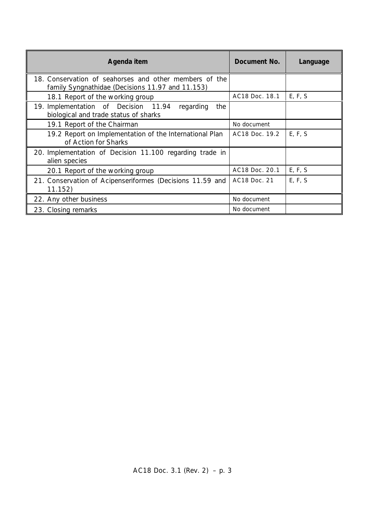| Agenda item                                                                                                | Document No.   | Language |
|------------------------------------------------------------------------------------------------------------|----------------|----------|
| 18. Conservation of seahorses and other members of the<br>family Syngnathidae (Decisions 11.97 and 11.153) |                |          |
| 18.1 Report of the working group                                                                           | AC18 Doc. 18.1 | E, F, S  |
| 19. Implementation of Decision 11.94<br>regarding<br>the<br>biological and trade status of sharks          |                |          |
| 19.1 Report of the Chairman                                                                                | No document    |          |
| 19.2 Report on Implementation of the International Plan<br>of Action for Sharks                            | AC18 Doc. 19.2 | E, F, S  |
| 20. Implementation of Decision 11.100 regarding trade in<br>alien species                                  |                |          |
| 20.1 Report of the working group                                                                           | AC18 Doc. 20.1 | E, F, S  |
| 21. Conservation of Acipenseriformes (Decisions 11.59 and<br>11.152)                                       | AC18 Doc. 21   | E, F, S  |
| 22. Any other business                                                                                     | No document    |          |
| 23. Closing remarks                                                                                        | No document    |          |